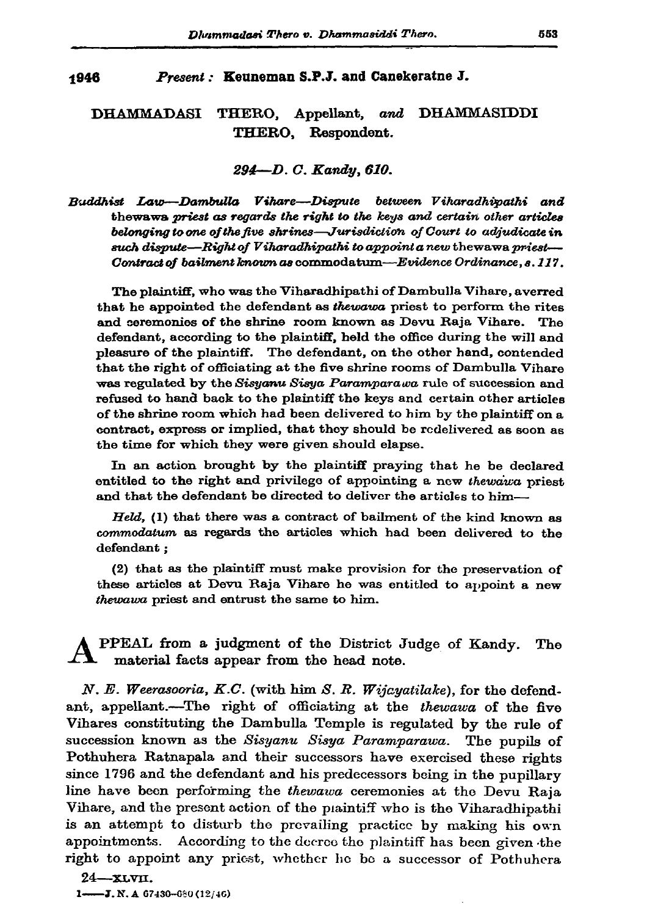## 1946 Present: Keuneman S.P.J. and Canekeratne J.

## **DHAMMADASI** THERO, Appellant, and DHAMMASIDDI THERO. Respondent.

## 294-D. C. Kandy, 610.

Buddhist Law—Dambulla Vihare—Dispute between Viharadhivathi and the waw priest as regards the right to the keys and certain other articles belonging to one of the five shrines—Jurisdiction of Court to adjudicate in such dispute—Right of Viharadhipathi to appoint a new thewawa priest— Contract of bailment known as commodatum—Evidence Ordinance, s. 117.

The plaintiff, who was the Viharadhipathi of Dambulla Vihare, averred that he appointed the defendant as thewawa priest to perform the rites and ceremonies of the shrine room known as Devu Raja Vihare. The defendant, according to the plaintiff, held the office during the will and pleasure of the plaintiff. The defendant, on the other hand, contended that the right of officiating at the five shrine rooms of Dambulla Vihare was regulated by the Sisyanu Sisya Paramparawa rule of succession and refused to hand back to the plaintiff the keys and certain other articles of the shrine room which had been delivered to him by the plaintiff on a contract, express or implied, that they should be redelivered as soon as the time for which they were given should elapse.

In an action brought by the plaintiff praying that he be declared entitled to the right and privilege of appointing a new thewaiva priest and that the defendant be directed to deliver the articles to him-

Held, (1) that there was a contract of bailment of the kind known as commodatum as regards the articles which had been delivered to the defendant:

(2) that as the plaintiff must make provision for the preservation of these articles at Devu Raja Vihare he was entitled to appoint a new thewawa priest and entrust the same to him.

PPEAL from a judgment of the District Judge of Kandy. The material facts appear from the head note.

N. E. Weerasooria, K.C. (with him S. R. Wijcyatilake), for the defendant, appellant.--The right of officiating at the thewawa of the five Vihares constituting the Dambulla Temple is regulated by the rule of succession known as the Sisyanu Sisya Paramparawa. The pupils of Pothuhera Ratnapala and their successors have exercised these rights since 1796 and the defendant and his predecessors being in the pupillary line have been performing the thewava ceremonies at the Devu Raja Vihare, and the present action of the plaintiff who is the Viharadhipathi is an attempt to disturb the prevailing practice by making his own appointments. According to the decree the plaintiff has been given the right to appoint any priest, whether he be a successor of Pothuhera

 $24 - xLVII$ . 1- $-J.N. A 67430 - 680(12/46)$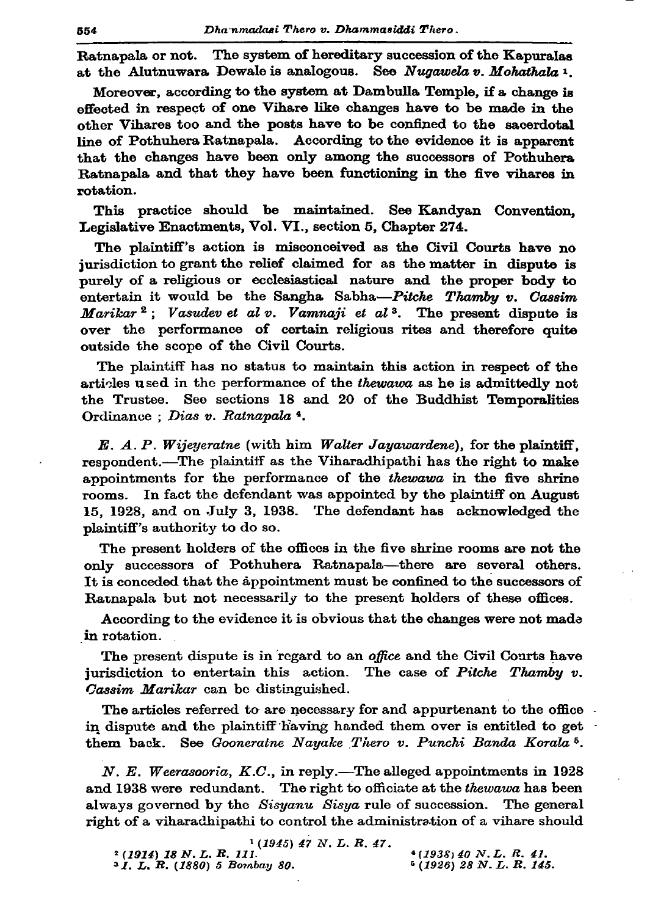The system of hereditary succession of the Kapuralas Ratnapala or not. at the Alutnuwara Dewale is analogous. See Nugawela v. Mohathala 1.

Moreover, according to the system at Dambulla Temple, if a change is effected in respect of one Vihare like changes have to be made in the other Vihares too and the posts have to be confined to the sacerdotal line of Pothuhera Ratnapala. According to the evidence it is apparent that the changes have been only among the successors of Pothuhera Ratnapala and that they have been functioning in the five vihares in rotation.

This practice should be maintained. See Kandyan Convention, Legislative Enactments, Vol. VI., section 5, Chapter 274.

The plaintiff's action is misconceived as the Civil Courts have no jurisdiction to grant the relief claimed for as the matter in dispute is purely of a religious or ecclesiastical nature and the proper body to entertain it would be the Sangha Sabha-Pitche Thamby v. Cassim Marikar<sup>2</sup>; Vasudev et al v. Vamnaji et al<sup>3</sup>. The present dispute is over the performance of certain religious rites and therefore quite outside the scope of the Civil Courts.

The plaintiff has no status to maintain this action in respect of the articles used in the performance of the thewawa as he is admittedly not the Trustee. See sections 18 and 20 of the Buddhist Temporalities Ordinance ; Dias v. Ratnapala 4.

E. A. P. Wijeyeratne (with him Walter Jayawardene), for the plaintiff, respondent.-The plaintiff as the Viharadhipathi has the right to make appointments for the performance of the *thewawa* in the five shrine rooms. In fact the defendant was appointed by the plaintiff on August 15, 1928, and on July 3, 1938. The defendant has acknowledged the plaintiff's authority to do so.

The present holders of the offices in the five shrine rooms are not the only successors of Pothuhera Ratnapala-there are several others. It is conceded that the appointment must be confined to the successors of Ratnapala but not necessarily to the present holders of these offices.

According to the evidence it is obvious that the changes were not made in rotation.

The present dispute is in regard to an office and the Civil Courts have jurisdiction to entertain this action. The case of Pitche Thamby v. Cassim Marikar can be distinguished.

The articles referred to are necessary for and appurtenant to the office. in dispute and the plaintiff having handed them over is entitled to get. them back. See Gooneraine Nayake Thero v. Punchi Banda Korala<sup>5</sup>.

N. E. Weerasooria,  $K.C.$ , in reply.—The alleged appointments in 1928 and 1938 were redundant. The right to officiate at the thewawa has been always governed by the Sisyanu Sisya rule of succession. The general right of a viharadhipathi to control the administration of a vihare should

 $1(1945)$  47 N.L.R. 47. <sup>2</sup> (1914) 18 N.L. R. 111.  $(1938)$  40 N.L. R. 41. <sup>3</sup> *I. L. R.* (1880) 5 Bombay 80.  $(1926)$  28 N.L.R. 145.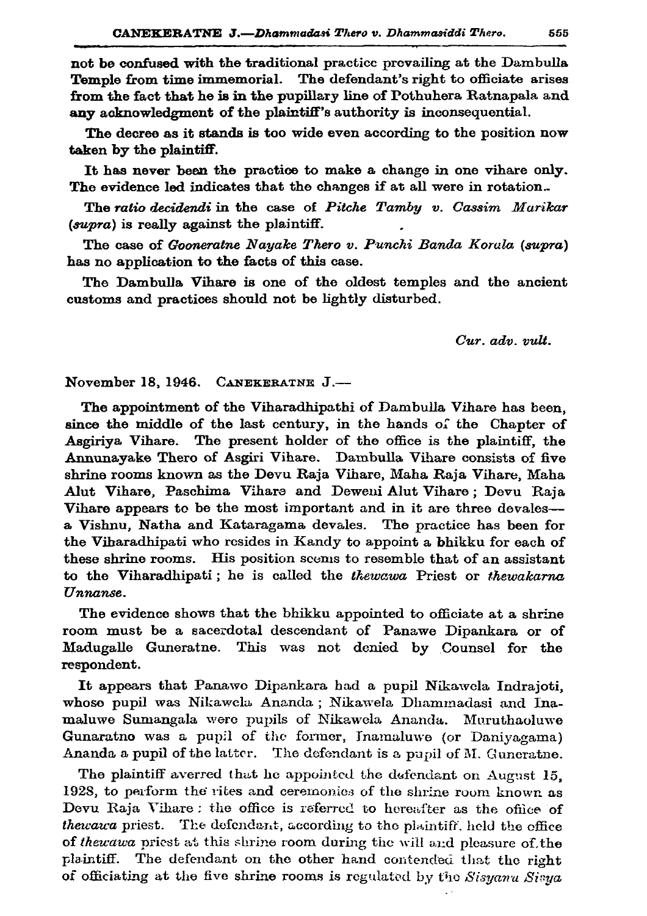not be confused with the traditional practice prevailing at the Dambulla Temple from time immemorial. The defendant's right to officiate arises from the fact that he is in the pupillary line of Pothuhera Ratnapala and any acknowledgment of the plaintiff's authority is inconsequential.

The decree as it stands is too wide even according to the position now taken by the plaintiff.

It has never been the practice to make a change in one vihare only. The evidence led indicates that the changes if at all were in rotation.

The ratio decidendi in the case of Pitche Tamby v. Cassim Murikar (supra) is really against the plaintiff.

The case of Gooneratne Nayake Thero v. Punchi Banda Korala (supra) has no application to the facts of this case.

The Dambulla Vihare is one of the oldest temples and the ancient customs and practices should not be lightly disturbed.

 $Cur.$   $adv.$   $vult.$ 

November 18, 1946. CANEKERATNE J.-

The appointment of the Viharadhipathi of Dambulla Vihare has been, since the middle of the last century, in the hands of the Chapter of Asgiriya Vihare. The present holder of the office is the plaintiff, the Annunayake Thero of Asgiri Vihare. Dambulla Vihare consists of five shrine rooms known as the Devu Raja Vihare, Maha Raja Vihare, Maha Alut Vihare, Paschima Vihare and Deweni Alut Vihare; Devu Raja Vihare appears to be the most important and in it are three devales-a Vishnu, Natha and Kataragama devales. The practice has been for the Viharadhipati who resides in Kandy to appoint a bhikku for each of these shrine rooms. His position scems to resemble that of an assistant to the Viharadhipati; he is called the thewawa Priest or thewakarna Unnanse.

The evidence shows that the bhikku appointed to officiate at a shrine room must be a sacerdotal descendant of Panawe Dipankara or of Madugalle Guneratne. This was not denied by Counsel for the respondent.

It appears that Panawo Dipankara had a pupil Nikawela Indrajoti, whose pupil was Nikawela Ananda; Nikawela Dhammadasi and Inamaluwe Sumangala were pupils of Nikawela Ananda. Muruthaoluwe Gunaratno was a pupil of the former, Inamaluwe (or Daniyagama) Ananda a pupil of the latter. The defendant is a pupil of M. Guneratne.

The plaintiff averred that he appointed the defendant on August 15, 1928, to perform the rites and ceremonies of the shrine room known as Devu Raja Vihare: the office is referred to hereafter as the office of thewawa priest. The defendant, according to the plaintiff. held the office of thewawa priest at this shrine room during the will and pleasure of the  $\mathbf{plaintiff}.$ The defendant on the other hand contended that the right of officiating at the five shrine rooms is regulated by the Sisyanu Sisya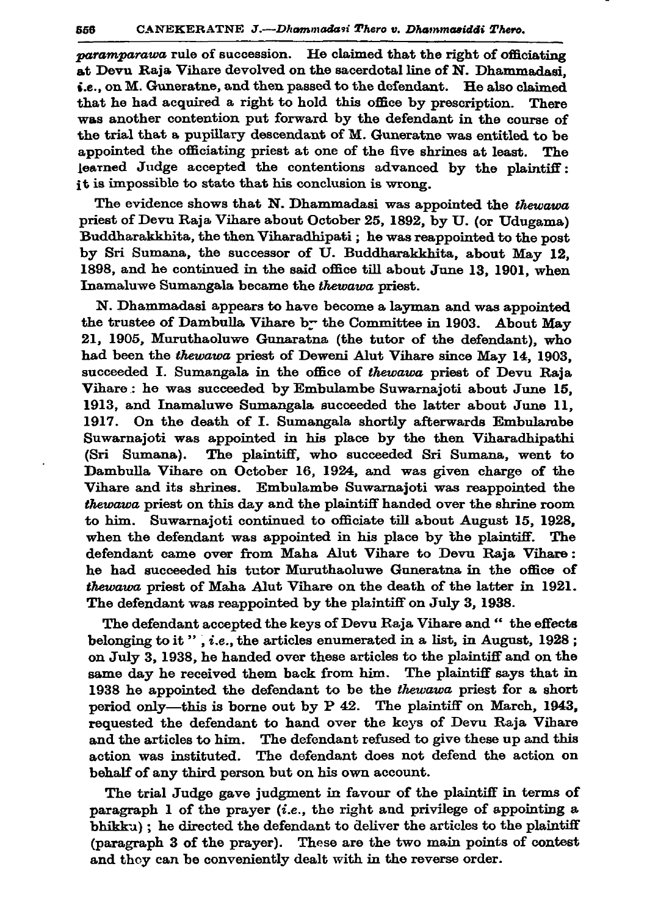paramparawa rule of succession. He claimed that the right of officiating at Devu Raja Vihare devolved on the sacerdotal line of N. Dhammadasi.  $\epsilon$ , on M. Guneratne, and then passed to the defendant. He also claimed that he had acquired a right to hold this office by prescription. There was another contention put forward by the defendant in the course of the trial that a pupillary descendant of M. Guneratne was entitled to be appointed the officiating priest at one of the five shrines at least. The learned Judge accepted the contentions advanced by the plaintiff: it is impossible to state that his conclusion is wrong.

The evidence shows that N. Dhammadasi was appointed the thewawa priest of Devu Raja Vihare about October 25, 1892, by U. (or Udugama) Buddharakkhita, the then Viharadhipati; he was reappointed to the post by Sri Sumana, the successor of U. Buddharakkhita, about May 12, 1898, and he continued in the said office till about June 13, 1901, when Inamaluwe Sumangala became the thewawa priest.

N. Dhammadasi appears to have become a layman and was appointed the trustee of Dambulla Vihare by the Committee in 1903. About May 21, 1905, Muruthaoluwe Gunaratna (the tutor of the defendant), who had been the thewava priest of Deweni Alut Vihare since May 14, 1903. succeeded I. Sumangala in the office of thewawa priest of Devu Raja Vihare: he was succeeded by Embulambe Suwarnajoti about June 15, 1913, and Inamaluwe Sumangala succeeded the latter about June 11. 1917. On the death of I. Sumangala shortly afterwards Embulambe Suwarnajoti was appointed in his place by the then Viharadhipathi (Sri Sumana). The plaintiff, who succeeded Sri Sumana, went to Dambulla Vihare on October 16, 1924, and was given charge of the Vihare and its shrines. Embulambe Suwarnajoti was reappointed the thewawa priest on this day and the plaintiff handed over the shrine room to him. Suwarnajoti continued to officiate till about August 15, 1928, when the defendant was appointed in his place by the plaintiff. The defendant came over from Maha Alut Vihare to Devu Raja Vihare: he had succeeded his tutor Muruthaoluwe Guneratna in the office of thewawa priest of Maha Alut Vihare on the death of the latter in 1921. The defendant was reappointed by the plaintiff on July 3, 1938.

The defendant accepted the keys of Devu Raja Vihare and " the effects belonging to it ", *i.e.*, the articles enumerated in a list, in August, 1928; on July 3, 1938, he handed over these articles to the plaintiff and on the same day he received them back from him. The plaintiff says that in 1938 he appointed the defendant to be the thewawa priest for a short period only—this is borne out by P 42. The plaintiff on March, 1943, requested the defendant to hand over the keys of Devu Raja Vihare and the articles to him. The defendant refused to give these up and this action was instituted. The defendant does not defend the action on behalf of any third person but on his own account.

The trial Judge gave judgment in favour of the plaintiff in terms of paragraph 1 of the prayer  $(i.e.,$  the right and privilege of appointing a bhikku); he directed the defendant to deliver the articles to the plaintiff (paragraph 3 of the prayer). These are the two main points of contest and they can be conveniently dealt with in the reverse order.